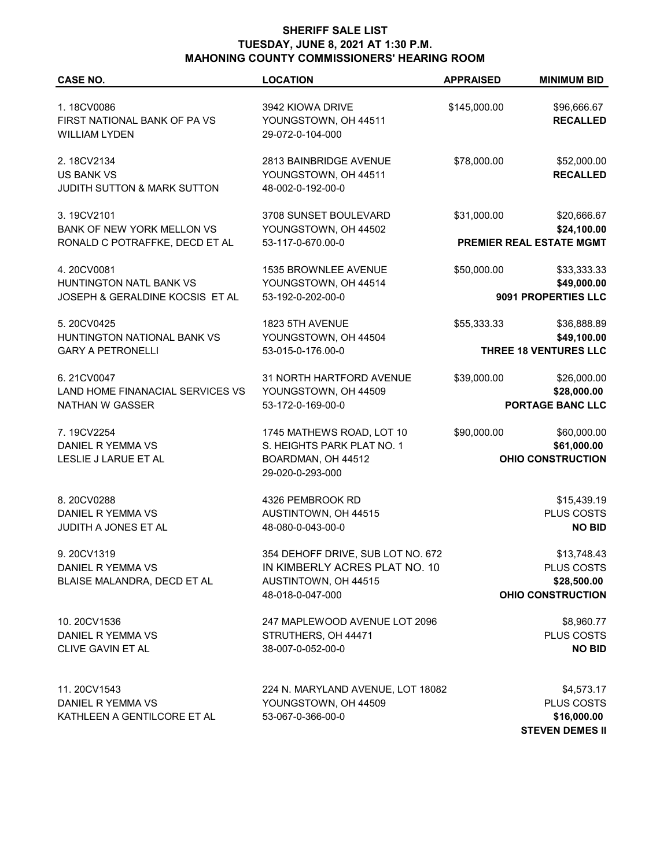## **SHERIFF SALE LIST TUESDAY, JUNE 8, 2021 AT 1:30 P.M. MAHONING COUNTY COMMISSIONERS' HEARING ROOM**

| <b>CASE NO.</b>                                                           | <b>LOCATION</b>                                                                                                | <b>APPRAISED</b>                                                      | <b>MINIMUM BID</b>                                                   |
|---------------------------------------------------------------------------|----------------------------------------------------------------------------------------------------------------|-----------------------------------------------------------------------|----------------------------------------------------------------------|
| 1.18CV0086<br>FIRST NATIONAL BANK OF PA VS<br><b>WILLIAM LYDEN</b>        | 3942 KIOWA DRIVE<br>YOUNGSTOWN, OH 44511<br>29-072-0-104-000                                                   | \$145,000.00                                                          | \$96,666.67<br><b>RECALLED</b>                                       |
| 2.18CV2134<br><b>US BANK VS</b><br><b>JUDITH SUTTON &amp; MARK SUTTON</b> | 2813 BAINBRIDGE AVENUE<br>YOUNGSTOWN, OH 44511<br>48-002-0-192-00-0                                            | \$78,000.00                                                           | \$52,000.00<br><b>RECALLED</b>                                       |
| 3.19CV2101                                                                | 3708 SUNSET BOULEVARD                                                                                          | \$31,000.00                                                           | \$20,666.67                                                          |
| BANK OF NEW YORK MELLON VS                                                | YOUNGSTOWN, OH 44502                                                                                           |                                                                       | \$24,100.00                                                          |
| RONALD C POTRAFFKE, DECD ET AL                                            | 53-117-0-670.00-0                                                                                              |                                                                       | <b>PREMIER REAL ESTATE MGMT</b>                                      |
| 4.20CV0081                                                                | 1535 BROWNLEE AVENUE                                                                                           | \$50,000.00                                                           | \$33,333.33                                                          |
| HUNTINGTON NATL BANK VS                                                   | YOUNGSTOWN, OH 44514                                                                                           |                                                                       | \$49,000.00                                                          |
| JOSEPH & GERALDINE KOCSIS ET AL                                           | 53-192-0-202-00-0                                                                                              |                                                                       | 9091 PROPERTIES LLC                                                  |
| 5.20CV0425                                                                | 1823 5TH AVENUE                                                                                                | \$55,333.33                                                           | \$36,888.89                                                          |
| HUNTINGTON NATIONAL BANK VS                                               | YOUNGSTOWN, OH 44504                                                                                           |                                                                       | \$49,100.00                                                          |
| <b>GARY A PETRONELLI</b>                                                  | 53-015-0-176.00-0                                                                                              |                                                                       | <b>THREE 18 VENTURES LLC</b>                                         |
| 6.21CV0047                                                                | 31 NORTH HARTFORD AVENUE                                                                                       | \$39,000.00                                                           | \$26,000.00                                                          |
| LAND HOME FINANACIAL SERVICES VS                                          | YOUNGSTOWN, OH 44509                                                                                           |                                                                       | \$28,000.00                                                          |
| NATHAN W GASSER                                                           | 53-172-0-169-00-0                                                                                              |                                                                       | PORTAGE BANC LLC                                                     |
| 7.19CV2254<br>DANIEL R YEMMA VS<br>LESLIE J LARUE ET AL                   | 1745 MATHEWS ROAD, LOT 10<br>S. HEIGHTS PARK PLAT NO. 1<br>BOARDMAN, OH 44512<br>29-020-0-293-000              | \$90,000.00<br>\$60,000.00<br>\$61,000.00<br><b>OHIO CONSTRUCTION</b> |                                                                      |
| 8.20CV0288                                                                | 4326 PEMBROOK RD                                                                                               |                                                                       | \$15,439.19                                                          |
| DANIEL R YEMMA VS                                                         | AUSTINTOWN, OH 44515                                                                                           |                                                                       | PLUS COSTS                                                           |
| JUDITH A JONES ET AL                                                      | 48-080-0-043-00-0                                                                                              |                                                                       | <b>NO BID</b>                                                        |
| 9.20CV1319<br>DANIEL R YEMMA VS<br>BLAISE MALANDRA, DECD ET AL            | 354 DEHOFF DRIVE, SUB LOT NO. 672<br>IN KIMBERLY ACRES PLAT NO. 10<br>AUSTINTOWN, OH 44515<br>48-018-0-047-000 |                                                                       | \$13,748.43<br>PLUS COSTS<br>\$28,500.00<br><b>OHIO CONSTRUCTION</b> |
| 10.20CV1536                                                               | 247 MAPLEWOOD AVENUE LOT 2096                                                                                  |                                                                       | \$8,960.77                                                           |
| DANIEL R YEMMA VS                                                         | STRUTHERS, OH 44471                                                                                            |                                                                       | PLUS COSTS                                                           |
| CLIVE GAVIN ET AL                                                         | 38-007-0-052-00-0                                                                                              |                                                                       | <b>NO BID</b>                                                        |
| 11.20CV1543                                                               | 224 N. MARYLAND AVENUE, LOT 18082                                                                              |                                                                       | \$4,573.17                                                           |
| DANIEL R YEMMA VS                                                         | YOUNGSTOWN, OH 44509                                                                                           |                                                                       | PLUS COSTS                                                           |
| KATHLEEN A GENTILCORE ET AL                                               | 53-067-0-366-00-0                                                                                              |                                                                       | \$16,000.00                                                          |

**STEVEN DEMES II**